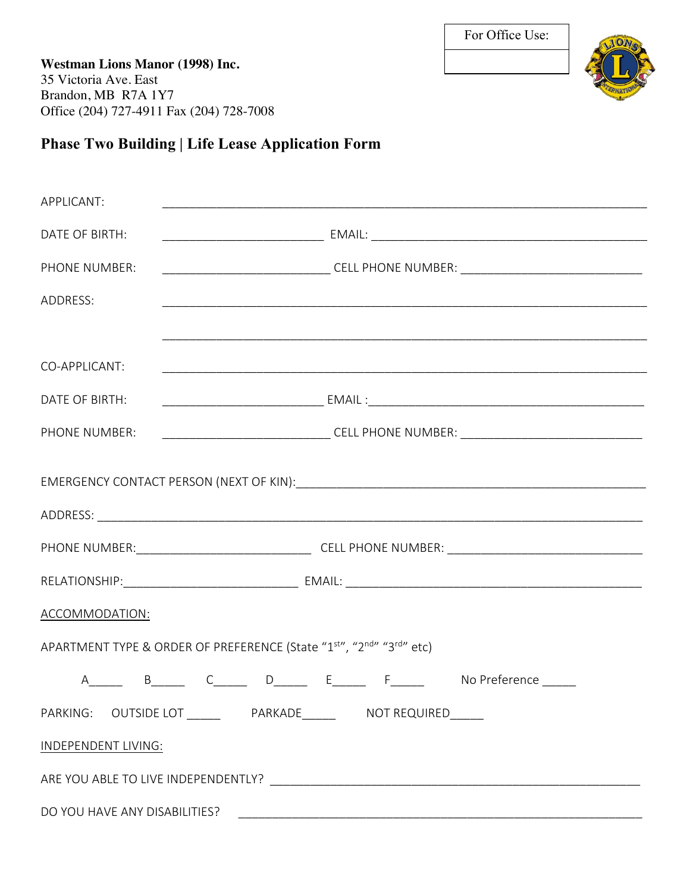**Westman Lions Manor (1998) Inc.** 35 Victoria Ave. East Brandon, MB R7A 1Y7 Office (204) 727-4911 Fax (204) 728-7008



## **Phase Two Building | Life Lease Application Form**

| APPLICANT:                                                          |                                                                                   |  |  |  |               |  |  |  |  |
|---------------------------------------------------------------------|-----------------------------------------------------------------------------------|--|--|--|---------------|--|--|--|--|
| DATE OF BIRTH:                                                      |                                                                                   |  |  |  |               |  |  |  |  |
| PHONE NUMBER:                                                       | ____________________________________CELL PHONE NUMBER: __________________________ |  |  |  |               |  |  |  |  |
| ADDRESS:                                                            |                                                                                   |  |  |  |               |  |  |  |  |
|                                                                     |                                                                                   |  |  |  |               |  |  |  |  |
| CO-APPLICANT:                                                       |                                                                                   |  |  |  |               |  |  |  |  |
| DATE OF BIRTH:                                                      |                                                                                   |  |  |  |               |  |  |  |  |
| PHONE NUMBER:                                                       | ____________________________________CELL PHONE NUMBER: __________________________ |  |  |  |               |  |  |  |  |
|                                                                     |                                                                                   |  |  |  |               |  |  |  |  |
|                                                                     |                                                                                   |  |  |  |               |  |  |  |  |
|                                                                     |                                                                                   |  |  |  |               |  |  |  |  |
| ACCOMMODATION:                                                      |                                                                                   |  |  |  |               |  |  |  |  |
| APARTMENT TYPE & ORDER OF PREFERENCE (State "1st", "2nd" "3rd" etc) |                                                                                   |  |  |  |               |  |  |  |  |
|                                                                     |                                                                                   |  |  |  | No Preference |  |  |  |  |
| PARKING: OUTSIDE LOT ________ PARKADE_______ NOT REQUIRED_____      |                                                                                   |  |  |  |               |  |  |  |  |
| <b>INDEPENDENT LIVING:</b>                                          |                                                                                   |  |  |  |               |  |  |  |  |
|                                                                     |                                                                                   |  |  |  |               |  |  |  |  |
| DO YOU HAVE ANY DISABILITIES?                                       |                                                                                   |  |  |  |               |  |  |  |  |